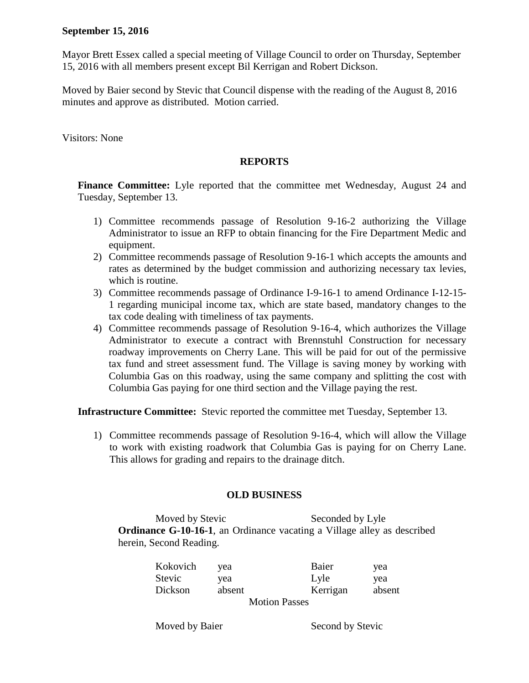## **September 15, 2016**

Mayor Brett Essex called a special meeting of Village Council to order on Thursday, September 15, 2016 with all members present except Bil Kerrigan and Robert Dickson.

Moved by Baier second by Stevic that Council dispense with the reading of the August 8, 2016 minutes and approve as distributed. Motion carried.

Visitors: None

## **REPORTS**

Finance Committee: Lyle reported that the committee met Wednesday, August 24 and Tuesday, September 13.

- 1) Committee recommends passage of Resolution 9-16-2 authorizing the Village Administrator to issue an RFP to obtain financing for the Fire Department Medic and equipment.
- 2) Committee recommends passage of Resolution 9-16-1 which accepts the amounts and rates as determined by the budget commission and authorizing necessary tax levies, which is routine.
- 3) Committee recommends passage of Ordinance I-9-16-1 to amend Ordinance I-12-15- 1 regarding municipal income tax, which are state based, mandatory changes to the tax code dealing with timeliness of tax payments.
- 4) Committee recommends passage of Resolution 9-16-4, which authorizes the Village Administrator to execute a contract with Brennstuhl Construction for necessary roadway improvements on Cherry Lane. This will be paid for out of the permissive tax fund and street assessment fund. The Village is saving money by working with Columbia Gas on this roadway, using the same company and splitting the cost with Columbia Gas paying for one third section and the Village paying the rest.

**Infrastructure Committee:** Stevic reported the committee met Tuesday, September 13.

1) Committee recommends passage of Resolution 9-16-4, which will allow the Village to work with existing roadwork that Columbia Gas is paying for on Cherry Lane. This allows for grading and repairs to the drainage ditch.

## **OLD BUSINESS**

Moved by Stevic Seconded by Lyle **Ordinance G-10-16-1**, an Ordinance vacating a Village alley as described herein, Second Reading.

| Kokovich             | yea    | Baier    | yea    |  |
|----------------------|--------|----------|--------|--|
| Stevic               | vea    | Lyle     | yea    |  |
| Dickson              | absent | Kerrigan | absent |  |
| <b>Motion Passes</b> |        |          |        |  |

Moved by Baier Second by Stevic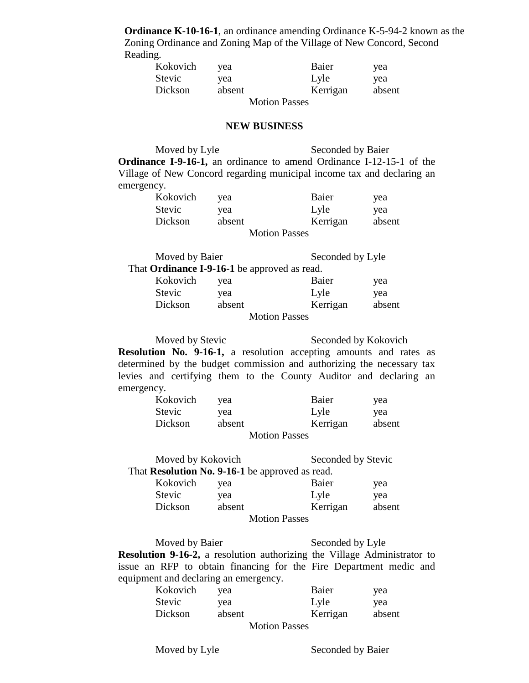**Ordinance K-10-16-1**, an ordinance amending Ordinance K-5-94-2 known as the Zoning Ordinance and Zoning Map of the Village of New Concord, Second Reading.

| Kokovich             | vea    | Baier    | yea    |  |
|----------------------|--------|----------|--------|--|
| Stevic               | yea    | Lyle     | yea    |  |
| Dickson              | absent | Kerrigan | absent |  |
| <b>Motion Passes</b> |        |          |        |  |

## **NEW BUSINESS**

Moved by Lyle Seconded by Baier **Ordinance I-9-16-1,** an ordinance to amend Ordinance I-12-15-1 of the Village of New Concord regarding municipal income tax and declaring an emergency.

| Kokovich | vea    | Baier                | yea    |
|----------|--------|----------------------|--------|
| Stevic   | vea    | Lyle                 | yea    |
| Dickson  | absent | Kerrigan             | absent |
|          |        | <b>Motion Passes</b> |        |

| Moved by Baier                                      |        | Seconded by Lyle     |        |
|-----------------------------------------------------|--------|----------------------|--------|
| That <b>Ordinance I-9-16-1</b> be approved as read. |        |                      |        |
| Kokovich                                            | vea    | Baier                | yea    |
| <b>Stevic</b>                                       | yea    | Lyle                 | yea    |
| Dickson                                             | absent | Kerrigan             | absent |
|                                                     |        | <b>Motion Passes</b> |        |

Moved by Stevic Seconded by Kokovich **Resolution No. 9-16-1,** a resolution accepting amounts and rates as determined by the budget commission and authorizing the necessary tax levies and certifying them to the County Auditor and declaring an emergency.

| Kokovich | yea    | Baier                                        | yea    |
|----------|--------|----------------------------------------------|--------|
| Stevic   | vea    | Lyle                                         | yea    |
| Dickson  | absent | Kerrigan                                     | absent |
|          |        | $M_{\odot}$ $\sim$ $D_{\odot}$ $\sim$ $\sim$ |        |

Motion Passes

| Moved by Kokovich                               |        |                      | Seconded by Stevic |  |
|-------------------------------------------------|--------|----------------------|--------------------|--|
| That Resolution No. 9-16-1 be approved as read. |        |                      |                    |  |
| Kokovich                                        | yea    | Baier                | yea                |  |
| <b>Stevic</b>                                   | yea    | Lyle                 | yea                |  |
| Dickson                                         | absent | Kerrigan             | absent             |  |
|                                                 |        | <b>Motion Passes</b> |                    |  |

Moved by Baier Seconded by Lyle **Resolution 9-16-2,** a resolution authorizing the Village Administrator to issue an RFP to obtain financing for the Fire Department medic and equipment and declaring an emergency.

| Kokovich             | yea    | Baier    | yea    |  |
|----------------------|--------|----------|--------|--|
| Stevic               | yea    | Lyle     | yea    |  |
| Dickson              | absent | Kerrigan | absent |  |
| <b>Motion Passes</b> |        |          |        |  |

Moved by Lyle Seconded by Baier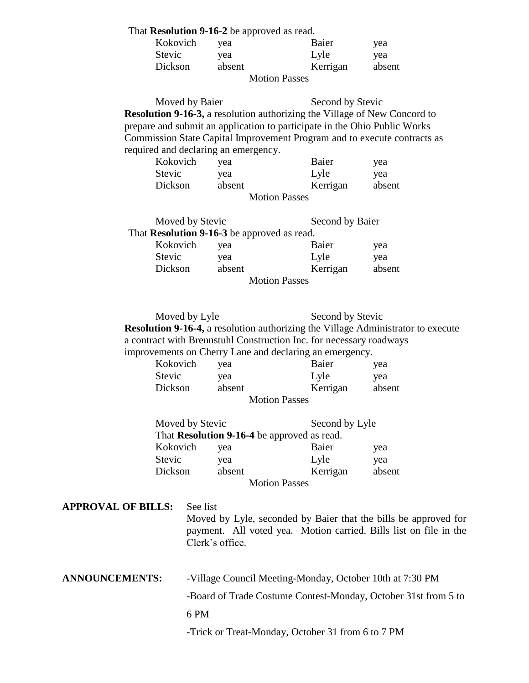That **Resolution 9-16-2** be approved as read.

| Kokovich             | vea    | Baier    | yea    |  |
|----------------------|--------|----------|--------|--|
| Stevic               | yea    | Lyle     | yea    |  |
| Dickson              | absent | Kerrigan | absent |  |
| <b>Motion Passes</b> |        |          |        |  |

Moved by Baier Second by Stevic **Resolution 9-16-3,** a resolution authorizing the Village of New Concord to prepare and submit an application to participate in the Ohio Public Works Commission State Capital Improvement Program and to execute contracts as required and declaring an emergency.

| Kokovich | vea    | Baier                | yea    |
|----------|--------|----------------------|--------|
| Stevic   | vea    | Lyle                 | yea    |
| Dickson  | absent | Kerrigan             | absent |
|          |        | <b>Motion Passes</b> |        |

| Moved by Stevic                             |        | Second by Baier      |        |
|---------------------------------------------|--------|----------------------|--------|
| That Resolution 9-16-3 be approved as read. |        |                      |        |
| Kokovich                                    | yea    | Baier                | yea    |
| <b>Stevic</b>                               | yea    | Lyle                 | yea    |
| Dickson                                     | absent | Kerrigan             | absent |
|                                             |        | <b>Motion Passes</b> |        |

Moved by Lyle Second by Stevic **Resolution 9-16-4,** a resolution authorizing the Village Administrator to execute a contract with Brennstuhl Construction Inc. for necessary roadways improvements on Cherry Lane and declaring an emergency.

| Kokovich             | yea    | Baier    | yea    |  |
|----------------------|--------|----------|--------|--|
| Stevic               | yea    | Lyle     | yea    |  |
| Dickson              | absent | Kerrigan | absent |  |
| <b>Motion Passes</b> |        |          |        |  |

| Moved by Stevic      |                                             | Second by Lyle |        |
|----------------------|---------------------------------------------|----------------|--------|
|                      | That Resolution 9-16-4 be approved as read. |                |        |
| Kokovich             | yea                                         | Baier          | yea    |
| <b>Stevic</b>        | yea                                         | Lyle           | yea    |
| Dickson              | absent                                      | Kerrigan       | absent |
| <b>Motion Passes</b> |                                             |                |        |

**APPROVAL OF BILLS:** See list

Moved by Lyle, seconded by Baier that the bills be approved for payment. All voted yea. Motion carried. Bills list on file in the Clerk's office.

| <b>ANNOUNCEMENTS:</b> | -Village Council Meeting-Monday, October 10th at 7:30 PM      |
|-----------------------|---------------------------------------------------------------|
|                       | -Board of Trade Costume Contest-Monday, October 31st from 5 t |

-Board of Trade Costume Contest-Monday, October 31st from 5 to

6 PM

-Trick or Treat-Monday, October 31 from 6 to 7 PM